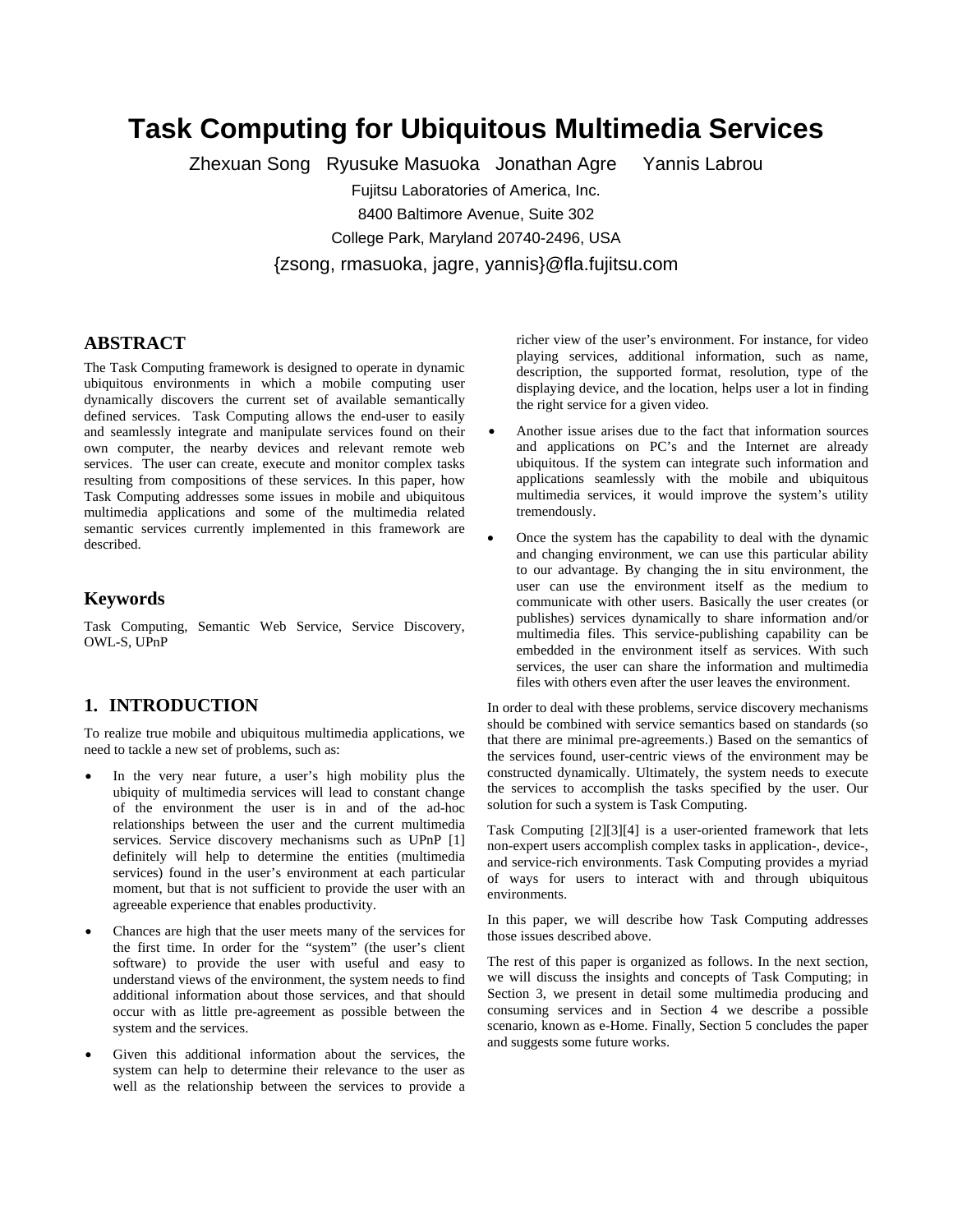# **Task Computing for Ubiquitous Multimedia Services**

Zhexuan Song Ryusuke Masuoka Jonathan Agre Yannis Labrou Fujitsu Laboratories of America, Inc. 8400 Baltimore Avenue, Suite 302 College Park, Maryland 20740-2496, USA {zsong, rmasuoka, jagre, yannis}@fla.fujitsu.com

### **ABSTRACT**

The Task Computing framework is designed to operate in dynamic ubiquitous environments in which a mobile computing user dynamically discovers the current set of available semantically defined services. Task Computing allows the end-user to easily and seamlessly integrate and manipulate services found on their own computer, the nearby devices and relevant remote web services. The user can create, execute and monitor complex tasks resulting from compositions of these services. In this paper, how Task Computing addresses some issues in mobile and ubiquitous multimedia applications and some of the multimedia related semantic services currently implemented in this framework are described.

### **Keywords**

Task Computing, Semantic Web Service, Service Discovery, OWL-S, UPnP

# **1. INTRODUCTION**

To realize true mobile and ubiquitous multimedia applications, we need to tackle a new set of problems, such as:

- In the very near future, a user's high mobility plus the ubiquity of multimedia services will lead to constant change of the environment the user is in and of the ad-hoc relationships between the user and the current multimedia services. Service discovery mechanisms such as UPnP [1] definitely will help to determine the entities (multimedia services) found in the user's environment at each particular moment, but that is not sufficient to provide the user with an agreeable experience that enables productivity.
- Chances are high that the user meets many of the services for the first time. In order for the "system" (the user's client software) to provide the user with useful and easy to understand views of the environment, the system needs to find additional information about those services, and that should occur with as little pre-agreement as possible between the system and the services.
- Given this additional information about the services, the system can help to determine their relevance to the user as well as the relationship between the services to provide a

richer view of the user's environment. For instance, for video playing services, additional information, such as name, description, the supported format, resolution, type of the displaying device, and the location, helps user a lot in finding the right service for a given video.

- Another issue arises due to the fact that information sources and applications on PC's and the Internet are already ubiquitous. If the system can integrate such information and applications seamlessly with the mobile and ubiquitous multimedia services, it would improve the system's utility tremendously.
- Once the system has the capability to deal with the dynamic and changing environment, we can use this particular ability to our advantage. By changing the in situ environment, the user can use the environment itself as the medium to communicate with other users. Basically the user creates (or publishes) services dynamically to share information and/or multimedia files. This service-publishing capability can be embedded in the environment itself as services. With such services, the user can share the information and multimedia files with others even after the user leaves the environment.

In order to deal with these problems, service discovery mechanisms should be combined with service semantics based on standards (so that there are minimal pre-agreements.) Based on the semantics of the services found, user-centric views of the environment may be constructed dynamically. Ultimately, the system needs to execute the services to accomplish the tasks specified by the user. Our solution for such a system is Task Computing.

Task Computing [2][3][4] is a user-oriented framework that lets non-expert users accomplish complex tasks in application-, device-, and service-rich environments. Task Computing provides a myriad of ways for users to interact with and through ubiquitous environments.

In this paper, we will describe how Task Computing addresses those issues described above.

The rest of this paper is organized as follows. In the next section, we will discuss the insights and concepts of Task Computing; in Section 3, we present in detail some multimedia producing and consuming services and in Section 4 we describe a possible scenario, known as e-Home. Finally, Section 5 concludes the paper and suggests some future works.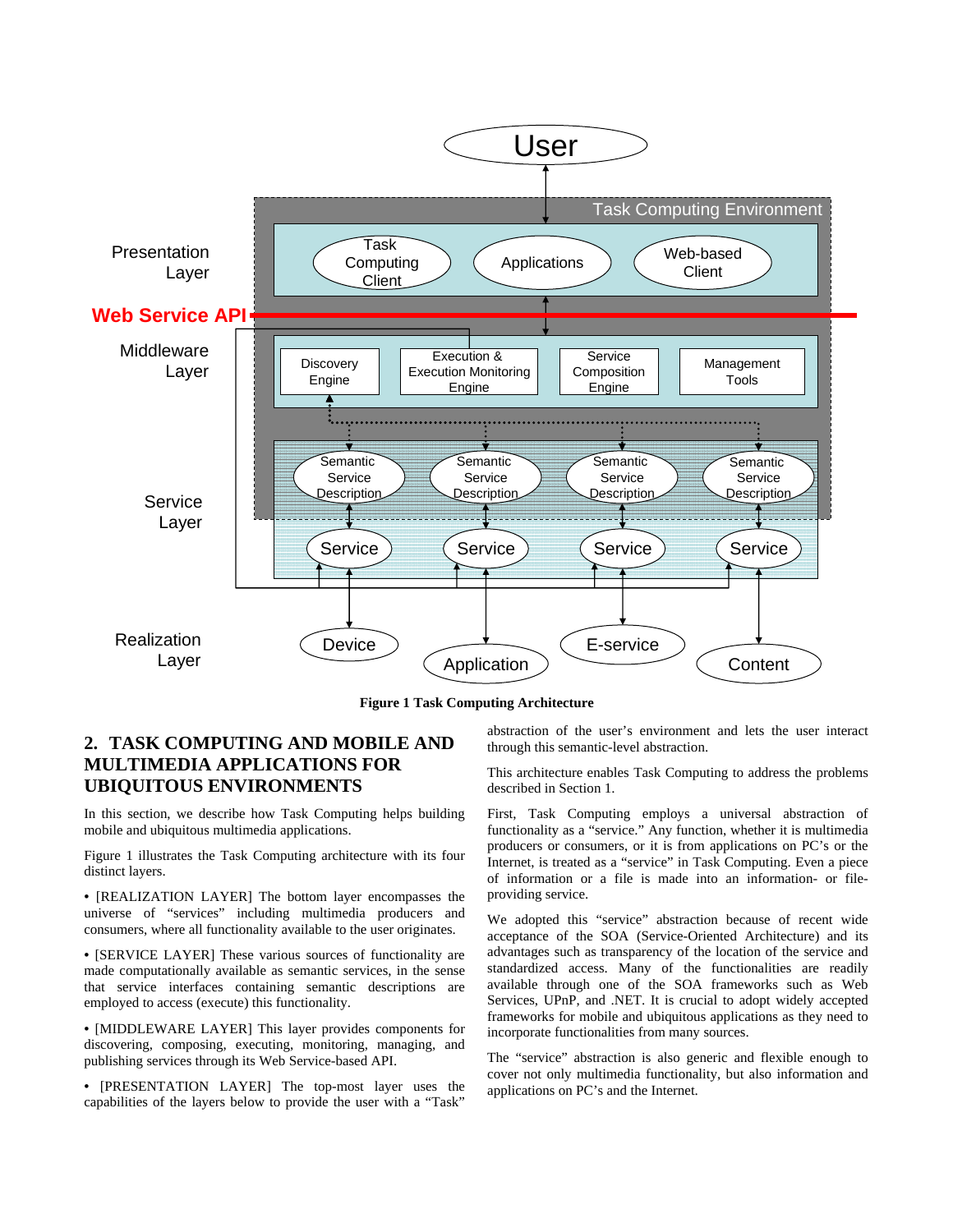

**Figure 1 Task Computing Architecture** 

# **2. TASK COMPUTING AND MOBILE AND MULTIMEDIA APPLICATIONS FOR UBIQUITOUS ENVIRONMENTS**

In this section, we describe how Task Computing helps building mobile and ubiquitous multimedia applications.

Figure 1 illustrates the Task Computing architecture with its four distinct layers.

*•* [REALIZATION LAYER] The bottom layer encompasses the universe of "services" including multimedia producers and consumers, where all functionality available to the user originates.

*•* [SERVICE LAYER] These various sources of functionality are made computationally available as semantic services, in the sense that service interfaces containing semantic descriptions are employed to access (execute) this functionality.

*•* [MIDDLEWARE LAYER] This layer provides components for discovering, composing, executing, monitoring, managing, and publishing services through its Web Service-based API.

*•* [PRESENTATION LAYER] The top-most layer uses the capabilities of the layers below to provide the user with a "Task"

abstraction of the user's environment and lets the user interact through this semantic-level abstraction.

This architecture enables Task Computing to address the problems described in Section 1.

First, Task Computing employs a universal abstraction of functionality as a "service." Any function, whether it is multimedia producers or consumers, or it is from applications on PC's or the Internet, is treated as a "service" in Task Computing. Even a piece of information or a file is made into an information- or fileproviding service.

We adopted this "service" abstraction because of recent wide acceptance of the SOA (Service-Oriented Architecture) and its advantages such as transparency of the location of the service and standardized access. Many of the functionalities are readily available through one of the SOA frameworks such as Web Services, UPnP, and .NET. It is crucial to adopt widely accepted frameworks for mobile and ubiquitous applications as they need to incorporate functionalities from many sources.

The "service" abstraction is also generic and flexible enough to cover not only multimedia functionality, but also information and applications on PC's and the Internet.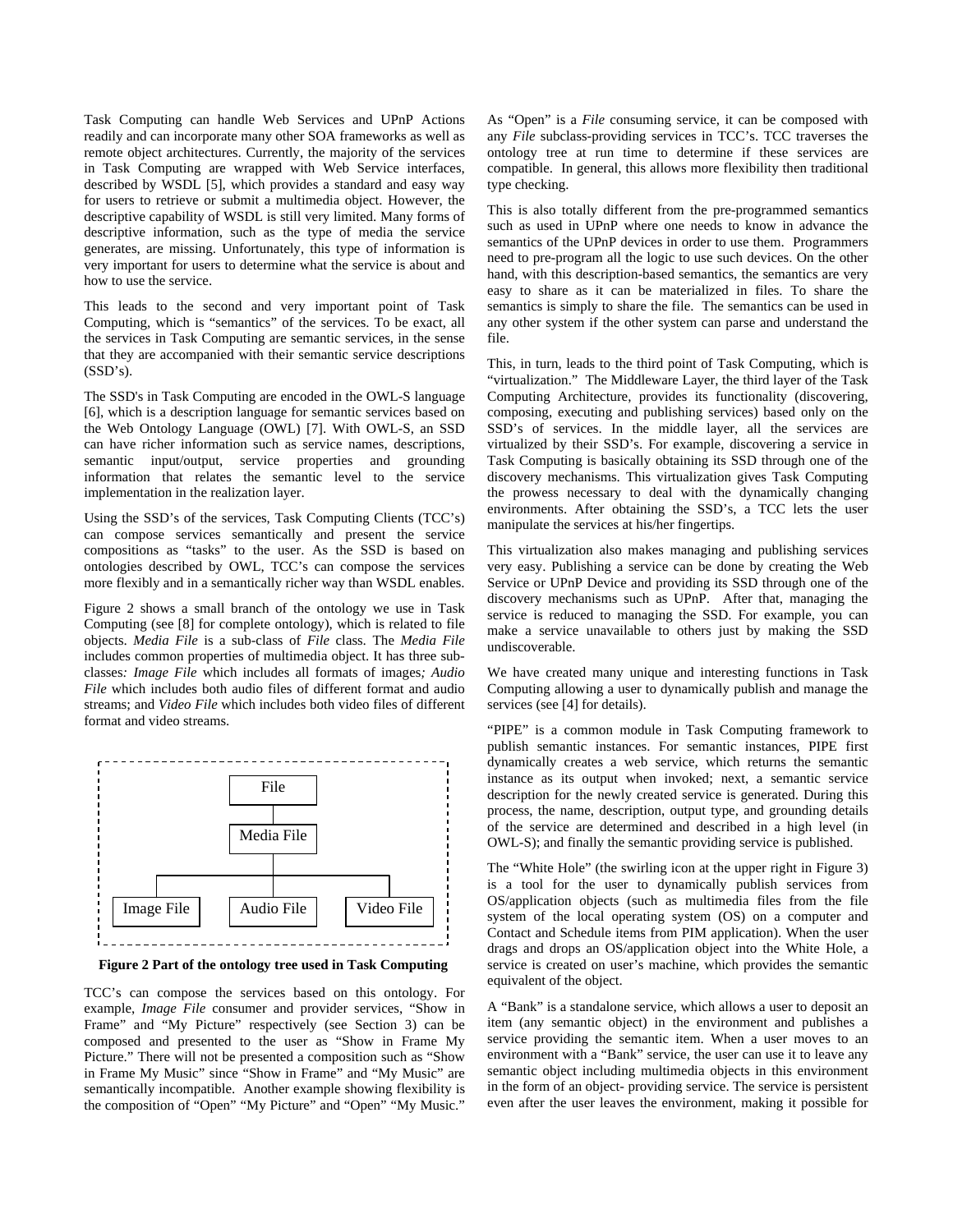Task Computing can handle Web Services and UPnP Actions readily and can incorporate many other SOA frameworks as well as remote object architectures. Currently, the majority of the services in Task Computing are wrapped with Web Service interfaces, described by WSDL [5], which provides a standard and easy way for users to retrieve or submit a multimedia object. However, the descriptive capability of WSDL is still very limited. Many forms of descriptive information, such as the type of media the service generates, are missing. Unfortunately, this type of information is very important for users to determine what the service is about and how to use the service.

This leads to the second and very important point of Task Computing, which is "semantics" of the services. To be exact, all the services in Task Computing are semantic services, in the sense that they are accompanied with their semantic service descriptions  $(SSD's)$ .

The SSD's in Task Computing are encoded in the OWL-S language [6], which is a description language for semantic services based on the Web Ontology Language (OWL) [7]. With OWL-S, an SSD can have richer information such as service names, descriptions, semantic input/output, service properties and grounding information that relates the semantic level to the service implementation in the realization layer.

Using the SSD's of the services, Task Computing Clients (TCC's) can compose services semantically and present the service compositions as "tasks" to the user. As the SSD is based on ontologies described by OWL, TCC's can compose the services more flexibly and in a semantically richer way than WSDL enables.

Figure 2 shows a small branch of the ontology we use in Task Computing (see [8] for complete ontology), which is related to file objects. *Media File* is a sub-class of *File* class. The *Media File* includes common properties of multimedia object. It has three subclasses*: Image File* which includes all formats of images*; Audio File* which includes both audio files of different format and audio streams; and *Video File* which includes both video files of different format and video streams.



**Figure 2 Part of the ontology tree used in Task Computing** 

TCC's can compose the services based on this ontology. For example, *Image File* consumer and provider services, "Show in Frame" and "My Picture" respectively (see Section 3) can be composed and presented to the user as "Show in Frame My Picture." There will not be presented a composition such as "Show in Frame My Music" since "Show in Frame" and "My Music" are semantically incompatible. Another example showing flexibility is the composition of "Open" "My Picture" and "Open" "My Music."

As "Open" is a *File* consuming service, it can be composed with any *File* subclass-providing services in TCC's. TCC traverses the ontology tree at run time to determine if these services are compatible. In general, this allows more flexibility then traditional type checking.

This is also totally different from the pre-programmed semantics such as used in UPnP where one needs to know in advance the semantics of the UPnP devices in order to use them. Programmers need to pre-program all the logic to use such devices. On the other hand, with this description-based semantics, the semantics are very easy to share as it can be materialized in files. To share the semantics is simply to share the file. The semantics can be used in any other system if the other system can parse and understand the file.

This, in turn, leads to the third point of Task Computing, which is "virtualization." The Middleware Layer, the third layer of the Task Computing Architecture, provides its functionality (discovering, composing, executing and publishing services) based only on the SSD's of services. In the middle layer, all the services are virtualized by their SSD's. For example, discovering a service in Task Computing is basically obtaining its SSD through one of the discovery mechanisms. This virtualization gives Task Computing the prowess necessary to deal with the dynamically changing environments. After obtaining the SSD's, a TCC lets the user manipulate the services at his/her fingertips.

This virtualization also makes managing and publishing services very easy. Publishing a service can be done by creating the Web Service or UPnP Device and providing its SSD through one of the discovery mechanisms such as UPnP. After that, managing the service is reduced to managing the SSD. For example, you can make a service unavailable to others just by making the SSD undiscoverable.

We have created many unique and interesting functions in Task Computing allowing a user to dynamically publish and manage the services (see [4] for details).

"PIPE" is a common module in Task Computing framework to publish semantic instances. For semantic instances, PIPE first dynamically creates a web service, which returns the semantic instance as its output when invoked; next, a semantic service description for the newly created service is generated. During this process, the name, description, output type, and grounding details of the service are determined and described in a high level (in OWL-S); and finally the semantic providing service is published.

The "White Hole" (the swirling icon at the upper right in Figure 3) is a tool for the user to dynamically publish services from OS/application objects (such as multimedia files from the file system of the local operating system (OS) on a computer and Contact and Schedule items from PIM application). When the user drags and drops an OS/application object into the White Hole, a service is created on user's machine, which provides the semantic equivalent of the object.

A "Bank" is a standalone service, which allows a user to deposit an item (any semantic object) in the environment and publishes a service providing the semantic item. When a user moves to an environment with a "Bank" service, the user can use it to leave any semantic object including multimedia objects in this environment in the form of an object- providing service. The service is persistent even after the user leaves the environment, making it possible for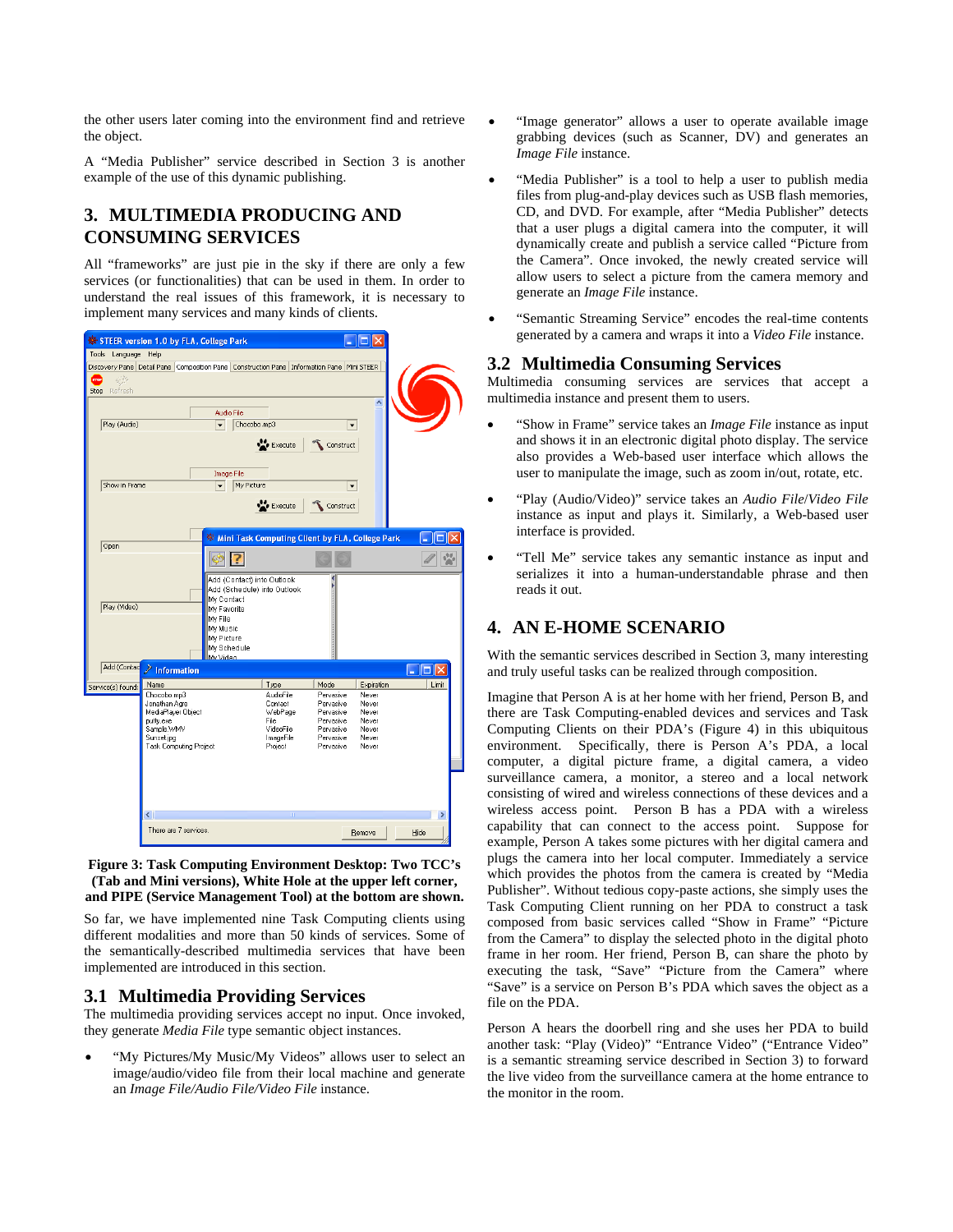the other users later coming into the environment find and retrieve the object.

A "Media Publisher" service described in Section 3 is another example of the use of this dynamic publishing.

# **3. MULTIMEDIA PRODUCING AND CONSUMING SERVICES**

All "frameworks" are just pie in the sky if there are only a few services (or functionalities) that can be used in them. In order to understand the real issues of this framework, it is necessary to implement many services and many kinds of clients.



#### **Figure 3: Task Computing Environment Desktop: Two TCC's (Tab and Mini versions), White Hole at the upper left corner, and PIPE (Service Management Tool) at the bottom are shown.**

So far, we have implemented nine Task Computing clients using different modalities and more than 50 kinds of services. Some of the semantically-described multimedia services that have been implemented are introduced in this section.

### **3.1 Multimedia Providing Services**

The multimedia providing services accept no input. Once invoked, they generate *Media File* type semantic object instances.

• "My Pictures/My Music/My Videos" allows user to select an image/audio/video file from their local machine and generate an *Image File/Audio File/Video File* instance.

- "Image generator" allows a user to operate available image grabbing devices (such as Scanner, DV) and generates an *Image File* instance.
- "Media Publisher" is a tool to help a user to publish media files from plug-and-play devices such as USB flash memories, CD, and DVD. For example, after "Media Publisher" detects that a user plugs a digital camera into the computer, it will dynamically create and publish a service called "Picture from the Camera". Once invoked, the newly created service will allow users to select a picture from the camera memory and generate an *Image File* instance.
- "Semantic Streaming Service" encodes the real-time contents generated by a camera and wraps it into a *Video File* instance.

### **3.2 Multimedia Consuming Services**

Multimedia consuming services are services that accept a multimedia instance and present them to users.

- "Show in Frame" service takes an *Image File* instance as input and shows it in an electronic digital photo display. The service also provides a Web-based user interface which allows the user to manipulate the image, such as zoom in/out, rotate, etc.
- "Play (Audio/Video)" service takes an *Audio File*/*Video File* instance as input and plays it. Similarly, a Web-based user interface is provided.
- "Tell Me" service takes any semantic instance as input and serializes it into a human-understandable phrase and then reads it out.

# **4. AN E-HOME SCENARIO**

With the semantic services described in Section 3, many interesting and truly useful tasks can be realized through composition.

Imagine that Person A is at her home with her friend, Person B, and there are Task Computing-enabled devices and services and Task Computing Clients on their PDA's (Figure 4) in this ubiquitous environment. Specifically, there is Person A's PDA, a local computer, a digital picture frame, a digital camera, a video surveillance camera, a monitor, a stereo and a local network consisting of wired and wireless connections of these devices and a wireless access point. Person B has a PDA with a wireless capability that can connect to the access point. Suppose for example, Person A takes some pictures with her digital camera and plugs the camera into her local computer. Immediately a service which provides the photos from the camera is created by "Media Publisher". Without tedious copy-paste actions, she simply uses the Task Computing Client running on her PDA to construct a task composed from basic services called "Show in Frame" "Picture from the Camera" to display the selected photo in the digital photo frame in her room. Her friend, Person B, can share the photo by executing the task, "Save" "Picture from the Camera" where "Save" is a service on Person B's PDA which saves the object as a file on the PDA.

Person A hears the doorbell ring and she uses her PDA to build another task: "Play (Video)" "Entrance Video" ("Entrance Video" is a semantic streaming service described in Section 3) to forward the live video from the surveillance camera at the home entrance to the monitor in the room.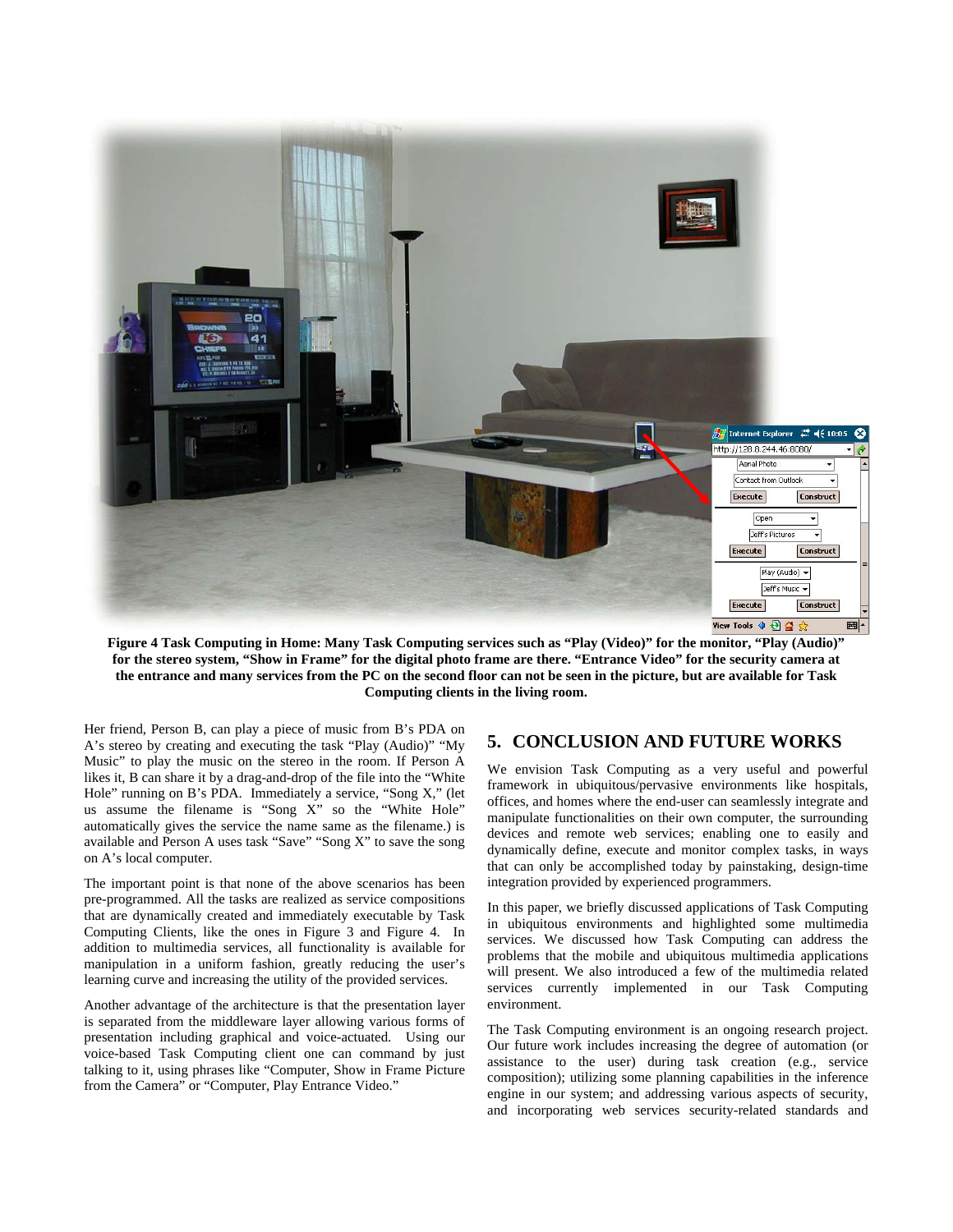

**Figure 4 Task Computing in Home: Many Task Computing services such as "Play (Video)" for the monitor, "Play (Audio)" for the stereo system, "Show in Frame" for the digital photo frame are there. "Entrance Video" for the security camera at the entrance and many services from the PC on the second floor can not be seen in the picture, but are available for Task Computing clients in the living room.** 

Her friend, Person B, can play a piece of music from B's PDA on A's stereo by creating and executing the task "Play (Audio)" "My Music" to play the music on the stereo in the room. If Person A likes it, B can share it by a drag-and-drop of the file into the "White Hole" running on B's PDA. Immediately a service, "Song X," (let us assume the filename is "Song X" so the "White Hole" automatically gives the service the name same as the filename.) is available and Person A uses task "Save" "Song X" to save the song on A's local computer.

The important point is that none of the above scenarios has been pre-programmed. All the tasks are realized as service compositions that are dynamically created and immediately executable by Task Computing Clients, like the ones in Figure 3 and Figure 4. In addition to multimedia services, all functionality is available for manipulation in a uniform fashion, greatly reducing the user's learning curve and increasing the utility of the provided services.

Another advantage of the architecture is that the presentation layer is separated from the middleware layer allowing various forms of presentation including graphical and voice-actuated. Using our voice-based Task Computing client one can command by just talking to it, using phrases like "Computer, Show in Frame Picture from the Camera" or "Computer, Play Entrance Video."

# **5. CONCLUSION AND FUTURE WORKS**

We envision Task Computing as a very useful and powerful framework in ubiquitous/pervasive environments like hospitals, offices, and homes where the end-user can seamlessly integrate and manipulate functionalities on their own computer, the surrounding devices and remote web services; enabling one to easily and dynamically define, execute and monitor complex tasks, in ways that can only be accomplished today by painstaking, design-time integration provided by experienced programmers.

In this paper, we briefly discussed applications of Task Computing in ubiquitous environments and highlighted some multimedia services. We discussed how Task Computing can address the problems that the mobile and ubiquitous multimedia applications will present. We also introduced a few of the multimedia related services currently implemented in our Task Computing environment.

The Task Computing environment is an ongoing research project. Our future work includes increasing the degree of automation (or assistance to the user) during task creation (e.g., service composition); utilizing some planning capabilities in the inference engine in our system; and addressing various aspects of security, and incorporating web services security-related standards and